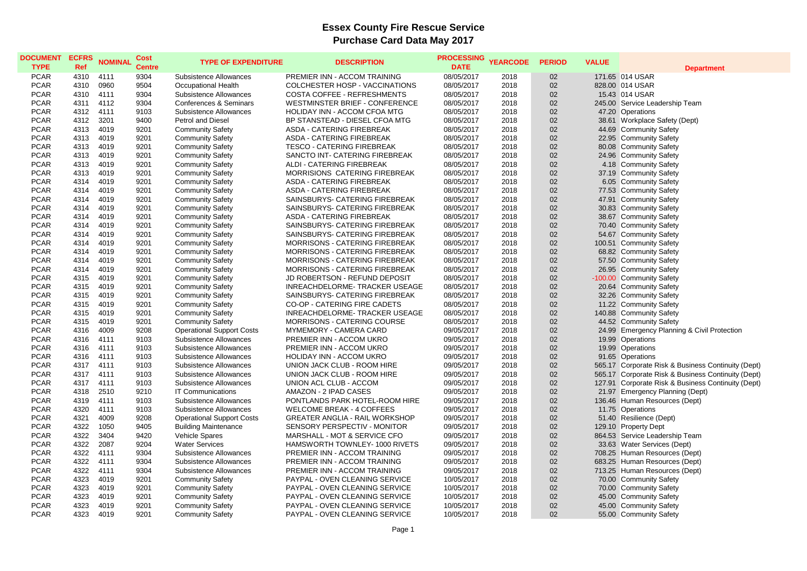## **Essex County Fire Rescue Service Purchase Card Data May 2017**

| <b>DOCUMENT</b><br><b>TYPE</b> | <b>ECFRS</b><br>Ref | <b>NOMINAL</b> | <b>Cost</b><br><b>Centre</b> | <b>TYPE OF EXPENDITURE</b>       | <b>DESCRIPTION</b>                    | <b>PROCESSING</b><br><b>DATE</b> | <b>YEARCODE</b> | <b>PERIOD</b> | <b>VALUE</b> | <b>Department</b>                                  |
|--------------------------------|---------------------|----------------|------------------------------|----------------------------------|---------------------------------------|----------------------------------|-----------------|---------------|--------------|----------------------------------------------------|
| <b>PCAR</b>                    | 4310                | 4111           | 9304                         | <b>Subsistence Allowances</b>    | PREMIER INN - ACCOM TRAINING          | 08/05/2017                       | 2018            | 02            |              | 171.65 014 USAR                                    |
| <b>PCAR</b>                    | 4310                | 0960           | 9504                         | Occupational Health              | COLCHESTER HOSP - VACCINATIONS        | 08/05/2017                       | 2018            | 02            |              | 828.00 014 USAR                                    |
| <b>PCAR</b>                    | 4310                | 4111           | 9304                         | <b>Subsistence Allowances</b>    | COSTA COFFEE - REFRESHMENTS           | 08/05/2017                       | 2018            | 02            |              | 15.43 014 USAR                                     |
| <b>PCAR</b>                    | 4311                | 4112           | 9304                         | Conferences & Seminars           | WESTMINSTER BRIEF - CONFERENCE        | 08/05/2017                       | 2018            | 02            |              | 245.00 Service Leadership Team                     |
| <b>PCAR</b>                    | 4312                | 4111           | 9103                         | Subsistence Allowances           | HOLIDAY INN - ACCOM CFOA MTG          | 08/05/2017                       | 2018            | 02            |              | 47.20 Operations                                   |
| <b>PCAR</b>                    | 4312                | 3201           | 9400                         | <b>Petrol and Diesel</b>         | BP STANSTEAD - DIESEL CFOA MTG        | 08/05/2017                       | 2018            | 02            |              | 38.61 Workplace Safety (Dept)                      |
| <b>PCAR</b>                    | 4313                | 4019           | 9201                         | <b>Community Safety</b>          | ASDA - CATERING FIREBREAK             | 08/05/2017                       | 2018            | 02            |              | 44.69 Community Safety                             |
| <b>PCAR</b>                    | 4313                | 4019           | 9201                         | <b>Community Safety</b>          | ASDA - CATERING FIREBREAK             | 08/05/2017                       | 2018            | 02            |              | 22.95 Community Safety                             |
| <b>PCAR</b>                    | 4313                | 4019           | 9201                         | <b>Community Safety</b>          | <b>TESCO - CATERING FIREBREAK</b>     | 08/05/2017                       | 2018            | 02            |              | 80.08 Community Safety                             |
| <b>PCAR</b>                    | 4313                | 4019           | 9201                         | <b>Community Safety</b>          | SANCTO INT- CATERING FIREBREAK        | 08/05/2017                       | 2018            | 02            |              | 24.96 Community Safety                             |
| <b>PCAR</b>                    | 4313                | 4019           | 9201                         | <b>Community Safety</b>          | ALDI - CATERING FIREBREAK             | 08/05/2017                       | 2018            | 02            |              | 4.18 Community Safety                              |
| <b>PCAR</b>                    | 4313                | 4019           | 9201                         | <b>Community Safety</b>          | MORRISIONS CATERING FIREBREAK         | 08/05/2017                       | 2018            | 02            |              | 37.19 Community Safety                             |
| <b>PCAR</b>                    | 4314                | 4019           | 9201                         | <b>Community Safety</b>          | <b>ASDA - CATERING FIREBREAK</b>      | 08/05/2017                       | 2018            | 02            |              | 6.05 Community Safety                              |
| <b>PCAR</b>                    | 4314                | 4019           | 9201                         | <b>Community Safety</b>          | <b>ASDA - CATERING FIREBREAK</b>      | 08/05/2017                       | 2018            | 02            |              | 77.53 Community Safety                             |
| <b>PCAR</b>                    | 4314                | 4019           | 9201                         | <b>Community Safety</b>          | SAINSBURYS- CATERING FIREBREAK        | 08/05/2017                       | 2018            | 02            |              | 47.91 Community Safety                             |
| <b>PCAR</b>                    | 4314                | 4019           | 9201                         | <b>Community Safety</b>          | SAINSBURYS- CATERING FIREBREAK        | 08/05/2017                       | 2018            | 02            |              | 30.83 Community Safety                             |
| <b>PCAR</b>                    | 4314                | 4019           | 9201                         | <b>Community Safety</b>          | ASDA - CATERING FIREBREAK             | 08/05/2017                       | 2018            | 02            |              | 38.67 Community Safety                             |
| <b>PCAR</b>                    | 4314                | 4019           | 9201                         | <b>Community Safety</b>          | SAINSBURYS- CATERING FIREBREAK        | 08/05/2017                       | 2018            | 02            |              | 70.40 Community Safety                             |
| <b>PCAR</b>                    | 4314                | 4019           | 9201                         | <b>Community Safety</b>          | SAINSBURYS- CATERING FIREBREAK        | 08/05/2017                       | 2018            | 02            |              | 54.67 Community Safety                             |
| <b>PCAR</b>                    | 4314                | 4019           | 9201                         | <b>Community Safety</b>          | MORRISONS - CATERING FIREBREAK        | 08/05/2017                       | 2018            | 02            |              | 100.51 Community Safety                            |
| <b>PCAR</b>                    | 4314                | 4019           | 9201                         | <b>Community Safety</b>          | MORRISONS - CATERING FIREBREAK        | 08/05/2017                       | 2018            | 02            |              | 68.82 Community Safety                             |
| <b>PCAR</b>                    | 4314                | 4019           | 9201                         | <b>Community Safety</b>          | MORRISONS - CATERING FIREBREAK        | 08/05/2017                       | 2018            | 02            |              | 57.50 Community Safety                             |
| <b>PCAR</b>                    | 4314                | 4019           | 9201                         | <b>Community Safety</b>          | <b>MORRISONS - CATERING FIREBREAK</b> | 08/05/2017                       | 2018            | 02            |              | 26.95 Community Safety                             |
| <b>PCAR</b>                    | 4315                | 4019           | 9201                         | <b>Community Safety</b>          | JD ROBERTSON - REFUND DEPOSIT         | 08/05/2017                       | 2018            | 02            |              | -100.00 Community Safety                           |
| <b>PCAR</b>                    | 4315                | 4019           | 9201                         | <b>Community Safety</b>          | INREACHDELORME- TRACKER USEAGE        | 08/05/2017                       | 2018            | 02            |              | 20.64 Community Safety                             |
| <b>PCAR</b>                    | 4315                | 4019           | 9201                         | <b>Community Safety</b>          | SAINSBURYS- CATERING FIREBREAK        | 08/05/2017                       | 2018            | 02            |              | 32.26 Community Safety                             |
| <b>PCAR</b>                    | 4315                | 4019           | 9201                         | <b>Community Safety</b>          | CO-OP - CATERING FIRE CADETS          | 08/05/2017                       | 2018            | 02            |              | 11.22 Community Safety                             |
| <b>PCAR</b>                    | 4315                | 4019           | 9201                         | <b>Community Safety</b>          | INREACHDELORME- TRACKER USEAGE        | 08/05/2017                       | 2018            | 02            |              | 140.88 Community Safety                            |
| <b>PCAR</b>                    | 4315                | 4019           | 9201                         | <b>Community Safety</b>          | <b>MORRISONS - CATERING COURSE</b>    | 08/05/2017                       | 2018            | 02            |              | 44.52 Community Safety                             |
| <b>PCAR</b>                    | 4316                | 4009           | 9208                         | <b>Operational Support Costs</b> | MYMEMORY - CAMERA CARD                | 09/05/2017                       | 2018            | 02            |              | 24.99 Emergency Planning & Civil Protection        |
| <b>PCAR</b>                    | 4316                | 4111           | 9103                         | Subsistence Allowances           | PREMIER INN - ACCOM UKRO              | 09/05/2017                       | 2018            | 02            |              | 19.99 Operations                                   |
| <b>PCAR</b>                    | 4316                | 4111           | 9103                         | Subsistence Allowances           | PREMIER INN - ACCOM UKRO              | 09/05/2017                       | 2018            | 02            |              | 19.99 Operations                                   |
| <b>PCAR</b>                    | 4316                | 4111           | 9103                         | Subsistence Allowances           | HOLIDAY INN - ACCOM UKRO              | 09/05/2017                       | 2018            | 02            |              | 91.65 Operations                                   |
| <b>PCAR</b>                    | 4317                | 4111           | 9103                         | Subsistence Allowances           | UNION JACK CLUB - ROOM HIRE           | 09/05/2017                       | 2018            | 02            |              | 565.17 Corporate Risk & Business Continuity (Dept) |
| <b>PCAR</b>                    | 4317                | 4111           | 9103                         | <b>Subsistence Allowances</b>    | UNION JACK CLUB - ROOM HIRE           | 09/05/2017                       | 2018            | 02            |              | 565.17 Corporate Risk & Business Continuity (Dept) |
| <b>PCAR</b>                    | 4317                | 4111           | 9103                         | <b>Subsistence Allowances</b>    | UNION ACL CLUB - ACCOM                | 09/05/2017                       | 2018            | 02            |              | 127.91 Corporate Risk & Business Continuity (Dept) |
| <b>PCAR</b>                    | 4318                | 2510           | 9210                         | <b>IT Communications</b>         | AMAZON - 2 IPAD CASES                 | 09/05/2017                       | 2018            | 02            |              | 21.97 Emergency Planning (Dept)                    |
| <b>PCAR</b>                    | 4319                | 4111           | 9103                         | Subsistence Allowances           | PONTLANDS PARK HOTEL-ROOM HIRE        | 09/05/2017                       | 2018            | 02            |              | 136.46 Human Resources (Dept)                      |
| <b>PCAR</b>                    | 4320                | 4111           | 9103                         | Subsistence Allowances           | <b>WELCOME BREAK - 4 COFFEES</b>      | 09/05/2017                       | 2018            | 02            |              | 11.75 Operations                                   |
| <b>PCAR</b>                    | 4321                | 4009           | 9208                         | <b>Operational Support Costs</b> | <b>GREATER ANGLIA - RAIL WORKSHOP</b> | 09/05/2017                       | 2018            | 02            |              | 51.40 Resilience (Dept)                            |
| <b>PCAR</b>                    | 4322                | 1050           | 9405                         | <b>Building Maintenance</b>      | SENSORY PERSPECTIV - MONITOR          | 09/05/2017                       | 2018            | 02            |              | 129.10 Property Dept                               |
| <b>PCAR</b>                    | 4322                | 3404           | 9420                         | <b>Vehicle Spares</b>            | MARSHALL - MOT & SERVICE CFO          | 09/05/2017                       | 2018            | 02            |              | 864.53 Service Leadership Team                     |
| <b>PCAR</b>                    | 4322                | 2087           | 9204                         | <b>Water Services</b>            | HAMSWORTH TOWNLEY- 1000 RIVETS        | 09/05/2017                       | 2018            | 02            |              | 33.63 Water Services (Dept)                        |
| <b>PCAR</b>                    | 4322                | 4111           | 9304                         | Subsistence Allowances           | PREMIER INN - ACCOM TRAINING          | 09/05/2017                       | 2018            | 02            |              | 708.25 Human Resources (Dept)                      |
| <b>PCAR</b>                    | 4322                | 4111           | 9304                         | Subsistence Allowances           | PREMIER INN - ACCOM TRAINING          | 09/05/2017                       | 2018            | 02            |              | 683.25 Human Resources (Dept)                      |
| <b>PCAR</b>                    | 4322                | 4111           | 9304                         | Subsistence Allowances           | PREMIER INN - ACCOM TRAINING          | 09/05/2017                       | 2018            | 02            |              | 713.25 Human Resources (Dept)                      |
| <b>PCAR</b>                    | 4323                | 4019           | 9201                         | <b>Community Safety</b>          | PAYPAL - OVEN CLEANING SERVICE        | 10/05/2017                       | 2018            | 02            |              | 70.00 Community Safety                             |
| <b>PCAR</b>                    | 4323                | 4019           | 9201                         | <b>Community Safety</b>          | PAYPAL - OVEN CLEANING SERVICE        | 10/05/2017                       | 2018            | 02            |              | 70.00 Community Safety                             |
| <b>PCAR</b>                    | 4323                | 4019           | 9201                         | <b>Community Safety</b>          | PAYPAL - OVEN CLEANING SERVICE        | 10/05/2017                       | 2018            | 02            |              | 45.00 Community Safety                             |
| <b>PCAR</b>                    | 4323                | 4019           | 9201                         | <b>Community Safety</b>          | PAYPAL - OVEN CLEANING SERVICE        | 10/05/2017                       | 2018            | 02            |              | 45.00 Community Safety                             |
| <b>PCAR</b>                    | 4323                | 4019           | 9201                         | <b>Community Safety</b>          | PAYPAL - OVEN CLEANING SERVICE        | 10/05/2017                       | 2018            | 02            |              | 55.00 Community Safety                             |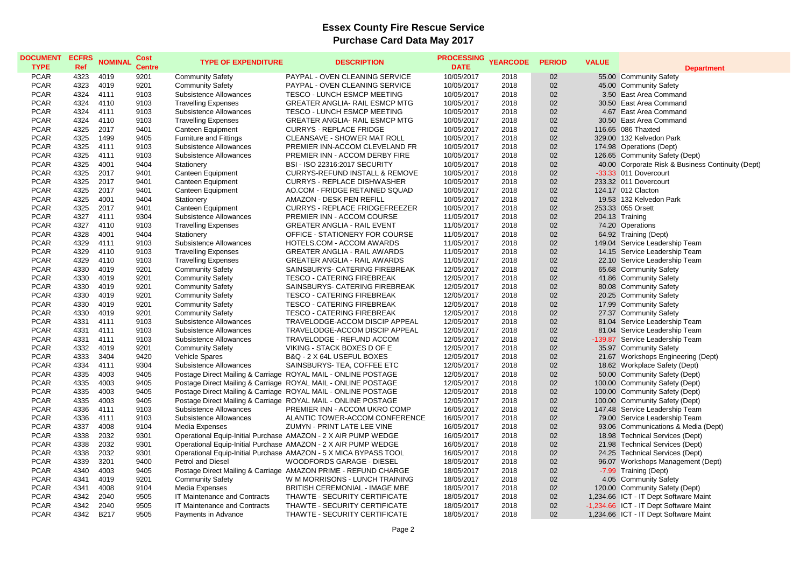## **Essex County Fire Rescue Service Purchase Card Data May 2017**

| <b>DOCUMENT</b><br><b>TYPE</b> | <b>ECFRS</b><br>Ref | <b>NOMINAL</b> | Cost<br><b>Centre</b> | <b>TYPE OF EXPENDITURE</b>    | <b>DESCRIPTION</b>                                                                                                             | <b>PROCESSING</b><br><b>DATE</b> | <b>YEARCODE</b> | <b>PERIOD</b> | <b>VALUE</b> | <b>Department</b>                                                   |
|--------------------------------|---------------------|----------------|-----------------------|-------------------------------|--------------------------------------------------------------------------------------------------------------------------------|----------------------------------|-----------------|---------------|--------------|---------------------------------------------------------------------|
| <b>PCAR</b>                    | 4323                | 4019           | 9201                  | <b>Community Safety</b>       | PAYPAL - OVEN CLEANING SERVICE                                                                                                 | 10/05/2017                       | 2018            | 02            |              | 55.00 Community Safety                                              |
| <b>PCAR</b>                    | 4323                | 4019           | 9201                  | <b>Community Safety</b>       | PAYPAL - OVEN CLEANING SERVICE                                                                                                 | 10/05/2017                       | 2018            | 02            |              | 45.00 Community Safety                                              |
| <b>PCAR</b>                    | 4324                | 4111           | 9103                  | Subsistence Allowances        | TESCO - LUNCH ESMCP MEETING                                                                                                    | 10/05/2017                       | 2018            | 02            |              | 3.50 East Area Command                                              |
| <b>PCAR</b>                    | 4324                | 4110           | 9103                  | <b>Travelling Expenses</b>    | <b>GREATER ANGLIA- RAIL ESMCP MTG</b>                                                                                          | 10/05/2017                       | 2018            | 02            |              | 30.50 East Area Command                                             |
| <b>PCAR</b>                    | 4324                | 4111           | 9103                  | Subsistence Allowances        | <b>TESCO - LUNCH ESMCP MEETING</b>                                                                                             | 10/05/2017                       | 2018            | 02            |              | 4.67 East Area Command                                              |
| <b>PCAR</b>                    | 4324                | 4110           | 9103                  | <b>Travelling Expenses</b>    | GREATER ANGLIA- RAIL ESMCP MTG                                                                                                 | 10/05/2017                       | 2018            | 02            |              | 30.50 East Area Command                                             |
| <b>PCAR</b>                    | 4325                | 2017           | 9401                  | <b>Canteen Equipment</b>      | <b>CURRYS - REPLACE FRIDGE</b>                                                                                                 | 10/05/2017                       | 2018            | 02            |              | 116.65 086 Thaxted                                                  |
| <b>PCAR</b>                    | 4325                | 1499           | 9405                  | <b>Furniture and Fittings</b> | CLEANSAVE - SHOWER MAT ROLL                                                                                                    | 10/05/2017                       | 2018            | 02            |              | 329.00 132 Kelvedon Park                                            |
| <b>PCAR</b>                    | 4325                | 4111           | 9103                  | Subsistence Allowances        | PREMIER INN-ACCOM CLEVELAND FR                                                                                                 | 10/05/2017                       | 2018            | 02            |              | 174.98 Operations (Dept)                                            |
| <b>PCAR</b>                    | 4325                | 4111           | 9103                  | Subsistence Allowances        | PREMIER INN - ACCOM DERBY FIRE                                                                                                 | 10/05/2017                       | 2018            | 02            |              | 126.65 Community Safety (Dept)                                      |
| <b>PCAR</b>                    | 4325                | 4001           | 9404                  | Stationery                    | <b>BSI - ISO 22316:2017 SECURITY</b>                                                                                           | 10/05/2017                       | 2018            | 02            |              | 40.00 Corporate Risk & Business Continuity (Dept)                   |
| <b>PCAR</b>                    | 4325                | 2017           | 9401                  | Canteen Equipment             | <b>CURRYS-REFUND INSTALL &amp; REMOVE</b>                                                                                      | 10/05/2017                       | 2018            | 02            |              | -33.33 011 Dovercourt                                               |
| <b>PCAR</b>                    | 4325                | 2017           | 9401                  | Canteen Equipment             | <b>CURRYS - REPLACE DISHWASHER</b>                                                                                             | 10/05/2017                       | 2018            | 02            |              | 233.32 011 Dovercourt                                               |
| <b>PCAR</b>                    | 4325                | 2017           | 9401                  | Canteen Equipment             | AO.COM - FRIDGE RETAINED SQUAD                                                                                                 | 10/05/2017                       | 2018            | 02            |              | 124.17 012 Clacton                                                  |
| <b>PCAR</b>                    | 4325                | 4001           | 9404                  | Stationery                    | AMAZON - DESK PEN REFILL                                                                                                       | 10/05/2017                       | 2018            | 02            |              | 19.53 132 Kelvedon Park                                             |
| <b>PCAR</b>                    | 4325                | 2017           | 9401                  | Canteen Equipment             | <b>CURRYS - REPLACE FRIDGEFREEZER</b>                                                                                          | 10/05/2017                       | 2018            | 02            |              | 253.33 055 Orsett                                                   |
| <b>PCAR</b>                    | 4327                | 4111           | 9304                  | Subsistence Allowances        | PREMIER INN - ACCOM COURSE                                                                                                     | 11/05/2017                       | 2018            | 02            |              | 204.13 Training                                                     |
| <b>PCAR</b>                    | 4327                | 4110           | 9103                  | <b>Travelling Expenses</b>    | <b>GREATER ANGLIA - RAIL EVENT</b>                                                                                             | 11/05/2017                       | 2018            | 02            |              | 74.20 Operations                                                    |
| <b>PCAR</b>                    | 4328                | 4001           | 9404                  | Stationery                    | OFFICE - STATIONERY FOR COURSE                                                                                                 | 11/05/2017                       | 2018            | 02            |              | 64.92 Training (Dept)                                               |
| <b>PCAR</b>                    | 4329                | 4111           | 9103                  | Subsistence Allowances        | HOTELS.COM - ACCOM AWARDS                                                                                                      | 11/05/2017                       | 2018            | 02            |              | 149.04 Service Leadership Team                                      |
| <b>PCAR</b>                    | 4329                | 4110           | 9103                  | <b>Travelling Expenses</b>    | <b>GREATER ANGLIA - RAIL AWARDS</b>                                                                                            | 11/05/2017                       | 2018            | 02            |              | 14.15 Service Leadership Team                                       |
| <b>PCAR</b>                    | 4329                | 4110           | 9103                  | <b>Travelling Expenses</b>    | <b>GREATER ANGLIA - RAIL AWARDS</b>                                                                                            | 11/05/2017                       | 2018            | 02            |              | 22.10 Service Leadership Team                                       |
| <b>PCAR</b>                    | 4330                | 4019           | 9201                  | <b>Community Safety</b>       | SAINSBURYS- CATERING FIREBREAK                                                                                                 | 12/05/2017                       | 2018            | 02            |              | 65.68 Community Safety                                              |
| <b>PCAR</b>                    | 4330                | 4019           | 9201                  | <b>Community Safety</b>       | <b>TESCO - CATERING FIREBREAK</b>                                                                                              | 12/05/2017                       | 2018            | 02            |              | 41.86 Community Safety                                              |
| <b>PCAR</b>                    | 4330                | 4019           | 9201                  | <b>Community Safety</b>       | SAINSBURYS- CATERING FIREBREAK                                                                                                 | 12/05/2017                       | 2018            | 02            |              | 80.08 Community Safety                                              |
| <b>PCAR</b>                    | 4330                | 4019           | 9201                  | <b>Community Safety</b>       | <b>TESCO - CATERING FIREBREAK</b>                                                                                              | 12/05/2017                       | 2018            | 02            |              | 20.25 Community Safety                                              |
| <b>PCAR</b>                    | 4330                | 4019           | 9201                  | <b>Community Safety</b>       | <b>TESCO - CATERING FIREBREAK</b>                                                                                              | 12/05/2017                       | 2018            | 02            |              | 17.99 Community Safety                                              |
| <b>PCAR</b>                    | 4330                | 4019           | 9201                  | <b>Community Safety</b>       | <b>TESCO - CATERING FIREBREAK</b>                                                                                              | 12/05/2017                       | 2018            | 02            |              | 27.37 Community Safety                                              |
| <b>PCAR</b>                    | 4331                | 4111           | 9103                  | Subsistence Allowances        | TRAVELODGE-ACCOM DISCIP APPEAL                                                                                                 | 12/05/2017                       | 2018            | 02            |              | 81.04 Service Leadership Team                                       |
| <b>PCAR</b>                    | 4331                | 4111           | 9103                  | Subsistence Allowances        | TRAVELODGE-ACCOM DISCIP APPEAL                                                                                                 | 12/05/2017                       | 2018            | 02            |              | 81.04 Service Leadership Team                                       |
| <b>PCAR</b>                    | 4331                | 4111           | 9103                  | Subsistence Allowances        | TRAVELODGE - REFUND ACCOM                                                                                                      | 12/05/2017                       | 2018            | 02            |              | -139.87 Service Leadership Team                                     |
| <b>PCAR</b>                    | 4332                | 4019           | 9201                  | <b>Community Safety</b>       | VIKING - STACK BOXES D OF E                                                                                                    | 12/05/2017                       | 2018            | 02            |              | 35.97 Community Safety                                              |
| <b>PCAR</b>                    | 4333                | 3404           | 9420                  | <b>Vehicle Spares</b>         | B&Q - 2 X 64L USEFUL BOXES                                                                                                     | 12/05/2017                       | 2018            | 02            |              |                                                                     |
| <b>PCAR</b>                    | 4334                | 4111           | 9304                  | Subsistence Allowances        | SAINSBURYS- TEA, COFFEE ETC                                                                                                    | 12/05/2017                       | 2018            | 02            |              | 21.67 Workshops Engineering (Dept)<br>18.62 Workplace Safety (Dept) |
| <b>PCAR</b>                    | 4335                | 4003           | 9405                  |                               | Postage Direct Mailing & Carriage ROYAL MAIL - ONLINE POSTAGE                                                                  | 12/05/2017                       | 2018            | 02            |              | 50.00 Community Safety (Dept)                                       |
| <b>PCAR</b>                    | 4335                | 4003           |                       |                               |                                                                                                                                |                                  | 2018            | 02            |              |                                                                     |
| <b>PCAR</b>                    | 4335                | 4003           | 9405<br>9405          |                               | Postage Direct Mailing & Carriage ROYAL MAIL - ONLINE POSTAGE<br>Postage Direct Mailing & Carriage ROYAL MAIL - ONLINE POSTAGE | 12/05/2017<br>12/05/2017         | 2018            | 02            |              | 100.00 Community Safety (Dept)<br>100.00 Community Safety (Dept)    |
| <b>PCAR</b>                    | 4335                | 4003           | 9405                  |                               |                                                                                                                                |                                  |                 | 02            |              |                                                                     |
| <b>PCAR</b>                    | 4336                | 4111           | 9103                  | Subsistence Allowances        | Postage Direct Mailing & Carriage ROYAL MAIL - ONLINE POSTAGE<br>PREMIER INN - ACCOM UKRO COMP                                 | 12/05/2017<br>16/05/2017         | 2018<br>2018    | 02            |              | 100.00 Community Safety (Dept)                                      |
|                                | 4336                | 4111           | 9103                  | Subsistence Allowances        |                                                                                                                                |                                  |                 |               |              | 147.48 Service Leadership Team                                      |
| <b>PCAR</b>                    |                     | 4008           |                       |                               | ALANTIC TOWER-ACCOM CONFERENCE                                                                                                 | 16/05/2017                       | 2018            | 02            |              | 79.00 Service Leadership Team                                       |
| <b>PCAR</b>                    | 4337                |                | 9104                  | Media Expenses                | ZUMYN - PRINT LATE LEE VINE                                                                                                    | 16/05/2017                       | 2018            | 02            |              | 93.06 Communications & Media (Dept)                                 |
| <b>PCAR</b>                    | 4338                | 2032           | 9301                  |                               | Operational Equip-Initial Purchase AMAZON - 2 X AIR PUMP WEDGE                                                                 | 16/05/2017                       | 2018            | 02            |              | 18.98 Technical Services (Dept)                                     |
| <b>PCAR</b>                    | 4338                | 2032           | 9301                  |                               | Operational Equip-Initial Purchase AMAZON - 2 X AIR PUMP WEDGE                                                                 | 16/05/2017                       | 2018            | 02            |              | 21.98 Technical Services (Dept)                                     |
| <b>PCAR</b>                    | 4338                | 2032           | 9301                  |                               | Operational Equip-Initial Purchase AMAZON - 5 X MICA BYPASS TOOL                                                               | 16/05/2017                       | 2018            | 02            |              | 24.25 Technical Services (Dept)                                     |
| <b>PCAR</b>                    | 4339                | 3201           | 9400                  | <b>Petrol and Diesel</b>      | <b>WOODFORDS GARAGE - DIESEL</b>                                                                                               | 18/05/2017                       | 2018            | 02            |              | 96.07 Workshops Management (Dept)                                   |
| <b>PCAR</b>                    | 4340                | 4003           | 9405                  |                               | Postage Direct Mailing & Carriage AMAZON PRIME - REFUND CHARGE                                                                 | 18/05/2017                       | 2018            | 02            |              | -7.99 Training (Dept)                                               |
| <b>PCAR</b>                    | 4341                | 4019           | 9201                  | <b>Community Safety</b>       | W M MORRISONS - LUNCH TRAINING                                                                                                 | 18/05/2017                       | 2018            | 02            |              | 4.05 Community Safety                                               |
| <b>PCAR</b>                    | 4341                | 4008           | 9104                  | Media Expenses                | BRITISH CEREMONIAL - IMAGE MBE                                                                                                 | 18/05/2017                       | 2018            | 02            |              | 120.00 Community Safety (Dept)                                      |
| <b>PCAR</b>                    | 4342                | 2040           | 9505                  | IT Maintenance and Contracts  | THAWTE - SECURITY CERTIFICATE                                                                                                  | 18/05/2017                       | 2018            | 02            |              | 1,234.66 ICT - IT Dept Software Maint                               |
| <b>PCAR</b>                    | 4342                | 2040           | 9505                  | IT Maintenance and Contracts  | THAWTE - SECURITY CERTIFICATE                                                                                                  | 18/05/2017                       | 2018            | 02            |              | -1,234.66 ICT - IT Dept Software Maint                              |
| <b>PCAR</b>                    | 4342                | B217           | 9505                  | Payments in Advance           | THAWTE - SECURITY CERTIFICATE                                                                                                  | 18/05/2017                       | 2018            | 02            |              | 1,234.66 ICT - IT Dept Software Maint                               |